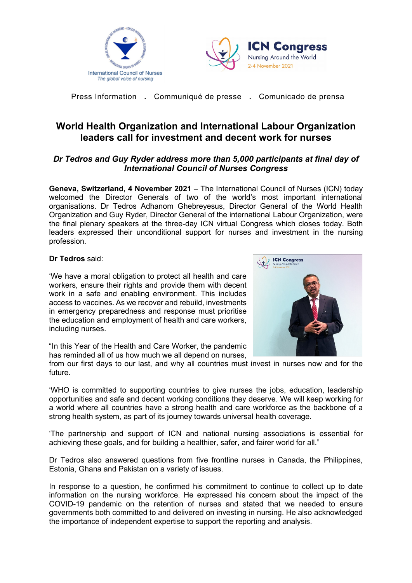



Press Information **.** Communiqué de presse **.** Comunicado de prensa

## **World Health Organization and International Labour Organization leaders call for investment and decent work for nurses**

## *Dr Tedros and Guy Ryder address more than 5,000 participants at final day of International Council of Nurses Congress*

**Geneva, Switzerland, 4 November 2021** – The International Council of Nurses (ICN) today welcomed the Director Generals of two of the world's most important international organisations. Dr Tedros Adhanom Ghebreyesus, Director General of the World Health Organization and Guy Ryder, Director General of the international Labour Organization, were the final plenary speakers at the three-day ICN virtual Congress which closes today. Both leaders expressed their unconditional support for nurses and investment in the nursing profession.

## **Dr Tedros** said:

'We have a moral obligation to protect all health and care workers, ensure their rights and provide them with decent work in a safe and enabling environment. This includes access to vaccines. As we recover and rebuild, investments in emergency preparedness and response must prioritise the education and employment of health and care workers, including nurses.



"In this Year of the Health and Care Worker, the pandemic has reminded all of us how much we all depend on nurses,

from our first days to our last, and why all countries must invest in nurses now and for the future.

'WHO is committed to supporting countries to give nurses the jobs, education, leadership opportunities and safe and decent working conditions they deserve. We will keep working for a world where all countries have a strong health and care workforce as the backbone of a strong health system, as part of its journey towards universal health coverage.

'The partnership and support of ICN and national nursing associations is essential for achieving these goals, and for building a healthier, safer, and fairer world for all."

Dr Tedros also answered questions from five frontline nurses in Canada, the Philippines, Estonia, Ghana and Pakistan on a variety of issues.

In response to a question, he confirmed his commitment to continue to collect up to date information on the nursing workforce. He expressed his concern about the impact of the COVID-19 pandemic on the retention of nurses and stated that we needed to ensure governments both committed to and delivered on investing in nursing. He also acknowledged the importance of independent expertise to support the reporting and analysis.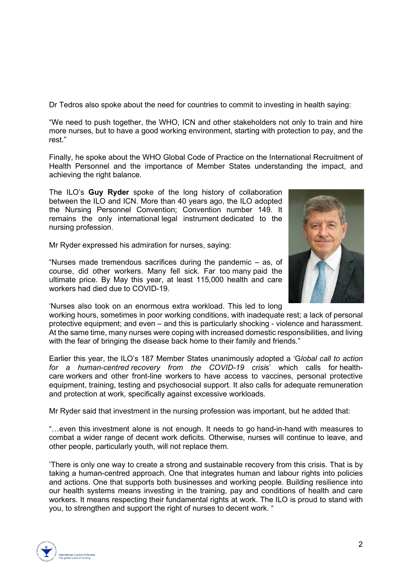Dr Tedros also spoke about the need for countries to commit to investing in health saying:

"We need to push together, the WHO, ICN and other stakeholders not only to train and hire more nurses, but to have a good working environment, starting with protection to pay, and the rest."

Finally, he spoke about the WHO Global Code of Practice on the International Recruitment of Health Personnel and the importance of Member States understanding the impact, and achieving the right balance.

The ILO's **Guy Ryder** spoke of the long history of collaboration between the ILO and ICN. More than 40 years ago, the ILO adopted the Nursing Personnel Convention; Convention number 149. It remains the only international legal instrument dedicated to the nursing profession.

Mr Ryder expressed his admiration for nurses, saying:

"Nurses made tremendous sacrifices during the pandemic – as, of course, did other workers. Many fell sick. Far too many paid the ultimate price. By May this year, at least 115,000 health and care workers had died due to COVID-19.

'Nurses also took on an enormous extra workload. This led to long

working hours, sometimes in poor working conditions, with inadequate rest; a lack of personal protective equipment; and even – and this is particularly shocking - violence and harassment. At the same time, many nurses were coping with increased domestic responsibilities, and living with the fear of bringing the disease back home to their family and friends."

Earlier this year, the ILO's 187 Member States unanimously adopted a 'G*lobal call to action for a human-centred recovery from the COVID-19 crisi*s' which calls for healthcare workers and other front-line workers to have access to vaccines, personal protective equipment, training, testing and psychosocial support. It also calls for adequate remuneration and protection at work, specifically against excessive workloads.

Mr Ryder said that investment in the nursing profession was important, but he added that:

"…even this investment alone is not enough. It needs to go hand-in-hand with measures to combat a wider range of decent work deficits. Otherwise, nurses will continue to leave, and other people, particularly youth, will not replace them.

'There is only one way to create a strong and sustainable recovery from this crisis. That is by taking a human-centred approach. One that integrates human and labour rights into policies and actions. One that supports both businesses and working people. Building resilience into our health systems means investing in the training, pay and conditions of health and care workers. It means respecting their fundamental rights at work. The ILO is proud to stand with you, to strengthen and support the right of nurses to decent work. "